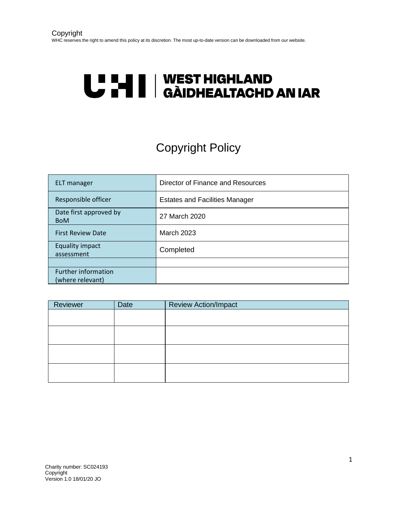# U LI | WEST HIGHLAND<br>U LI | GÀIDHEALTACHD AN IAR

## Copyright Policy

| ELT manager                                    | Director of Finance and Resources     |
|------------------------------------------------|---------------------------------------|
| Responsible officer                            | <b>Estates and Facilities Manager</b> |
| Date first approved by<br><b>BoM</b>           | 27 March 2020                         |
| <b>First Review Date</b>                       | <b>March 2023</b>                     |
| <b>Equality impact</b><br>assessment           | Completed                             |
|                                                |                                       |
| <b>Further information</b><br>(where relevant) |                                       |

| Reviewer | Date | <b>Review Action/Impact</b> |
|----------|------|-----------------------------|
|          |      |                             |
|          |      |                             |
|          |      |                             |
|          |      |                             |
|          |      |                             |
|          |      |                             |
|          |      |                             |
|          |      |                             |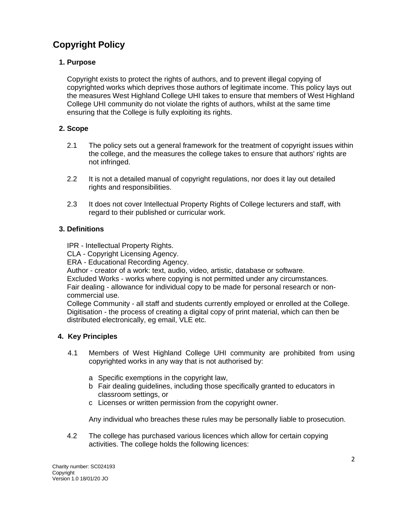### .**Copyright Policy**

#### **1. Purpose**

Copyright exists to protect the rights of authors, and to prevent illegal copying of copyrighted works which deprives those authors of legitimate income. This policy lays out the measures West Highland College UHI takes to ensure that members of West Highland College UHI community do not violate the rights of authors, whilst at the same time ensuring that the College is fully exploiting its rights.

#### **2. Scope**

- 2.1 The policy sets out a general framework for the treatment of copyright issues within the college, and the measures the college takes to ensure that authors' rights are not infringed.
- 2.2 It is not a detailed manual of copyright regulations, nor does it lay out detailed rights and responsibilities.
- 2.3 It does not cover Intellectual Property Rights of College lecturers and staff, with regard to their published or curricular work.

#### **3. Definitions**

IPR - Intellectual Property Rights.

CLA - Copyright Licensing Agency.

ERA - Educational Recording Agency.

Author - creator of a work: text, audio, video, artistic, database or software.

Excluded Works - works where copying is not permitted under any circumstances. Fair dealing - allowance for individual copy to be made for personal research or noncommercial use.

College Community - all staff and students currently employed or enrolled at the College. Digitisation - the process of creating a digital copy of print material, which can then be distributed electronically, eg email, VLE etc.

#### **4. Key Principles**

- 4.1 Members of West Highland College UHI community are prohibited from using copyrighted works in any way that is not authorised by:
	- a Specific exemptions in the copyright law,
	- b Fair dealing guidelines, including those specifically granted to educators in classroom settings, or
	- c Licenses or written permission from the copyright owner.

Any individual who breaches these rules may be personally liable to prosecution.

 4.2 The college has purchased various licences which allow for certain copying activities. The college holds the following licences: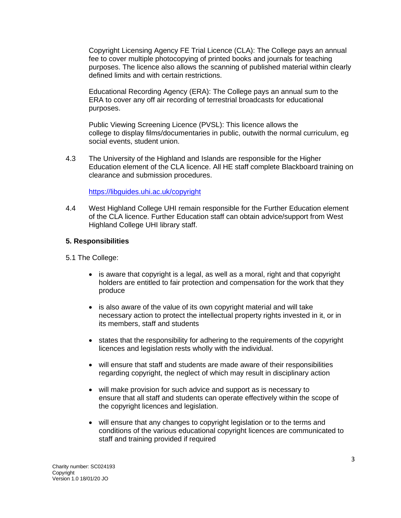Copyright Licensing Agency FE Trial Licence (CLA): The College pays an annual fee to cover multiple photocopying of printed books and journals for teaching purposes. The licence also allows the scanning of published material within clearly defined limits and with certain restrictions.

Educational Recording Agency (ERA): The College pays an annual sum to the ERA to cover any off air recording of terrestrial broadcasts for educational purposes.

Public Viewing Screening Licence (PVSL): This licence allows the college to display films/documentaries in public, outwith the normal curriculum, eg social events, student union.

4.3 The University of the Highland and Islands are responsible for the Higher Education element of the CLA licence. All HE staff complete Blackboard training on clearance and submission procedures.

#### <https://libguides.uhi.ac.uk/copyright>

4.4 West Highland College UHI remain responsible for the Further Education element of the CLA licence. Further Education staff can obtain advice/support from West Highland College UHI library staff.

#### **5. Responsibilities**

5.1 The College:

- is aware that copyright is a legal, as well as a moral, right and that copyright holders are entitled to fair protection and compensation for the work that they produce
- is also aware of the value of its own copyright material and will take necessary action to protect the intellectual property rights invested in it, or in its members, staff and students
- states that the responsibility for adhering to the requirements of the copyright licences and legislation rests wholly with the individual.
- will ensure that staff and students are made aware of their responsibilities regarding copyright, the neglect of which may result in disciplinary action
- will make provision for such advice and support as is necessary to ensure that all staff and students can operate effectively within the scope of the copyright licences and legislation.
- will ensure that any changes to copyright legislation or to the terms and conditions of the various educational copyright licences are communicated to staff and training provided if required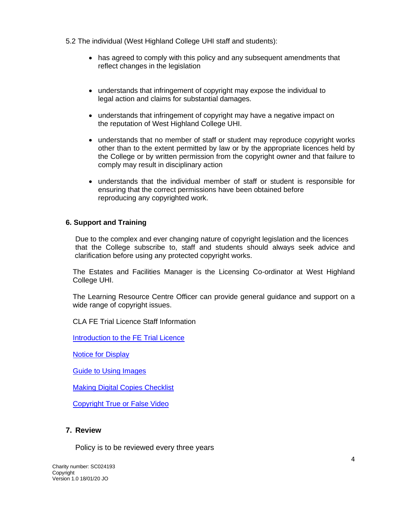5.2 The individual (West Highland College UHI staff and students):

- has agreed to comply with this policy and any subsequent amendments that reflect changes in the legislation
- understands that infringement of copyright may expose the individual to legal action and claims for substantial damages.
- understands that infringement of copyright may have a negative impact on the reputation of West Highland College UHI.
- understands that no member of staff or student may reproduce copyright works other than to the extent permitted by law or by the appropriate licences held by the College or by written permission from the copyright owner and that failure to comply may result in disciplinary action
- understands that the individual member of staff or student is responsible for ensuring that the correct permissions have been obtained before reproducing any copyrighted work.

#### **6. Support and Training**

Due to the complex and ever changing nature of copyright legislation and the licences that the College subscribe to, staff and students should always seek advice and clarification before using any protected copyright works.

The Estates and Facilities Manager is the Licensing Co-ordinator at West Highland College UHI.

The Learning Resource Centre Officer can provide general guidance and support on a wide range of copyright issues.

CLA FE Trial Licence Staff Information

[Introduction to the FE Trial Licence](https://www.youtube.com/watch?v=YDP_mJV-0us)

[Notice for Display](https://cla.co.uk/sites/default/files/CLA-CopyingGuidelines.pdf)

[Guide to Using Images](https://cla.co.uk/sites/default/files/Using%20Images%20Resource.pdf)

[Making Digital Copies Checklist](https://cla.co.uk/sites/default/files/Making-Digital-Copies-Checklist.pdf)

[Copyright True or False Video](https://www.youtube.com/watch?v=v3ztrs1GQ0M)

#### **7. Review**

Policy is to be reviewed every three years